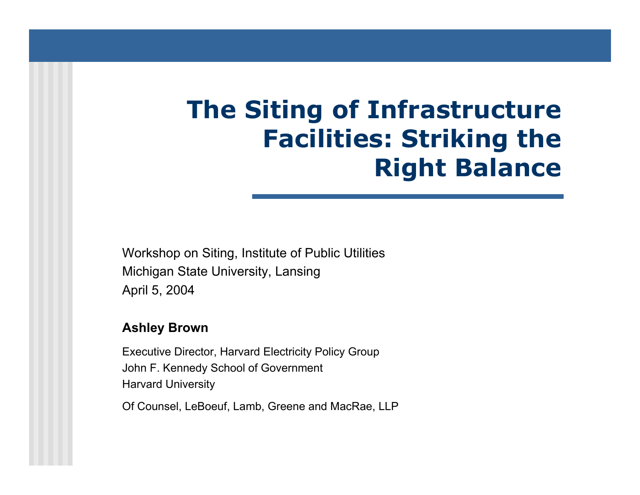# **The Siting of Infrastructure Facilities: Striking the Right Balance**

Workshop on Siting, Institute of Public Utilities Michigan State University, Lansing April 5, 2004

#### **Ashley Brown**

Executi ve Director, Harvard Electricity Policy Group John F. Kennedy School of Governm ent Harvard University

Of Counsel, LeBoeuf, Lamb, Greene and MacRae, LLP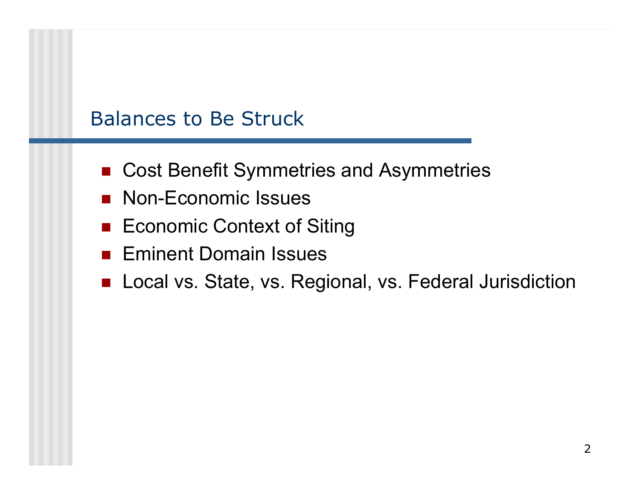# Balances to Be Struck

- Cost Benefit Symmetries and Asymmetries
- Non-Economic Issues
- Economic Context of Siting
- Eminent Domain Issues
- Local vs. State, vs. Regional, vs. Federal Jurisdiction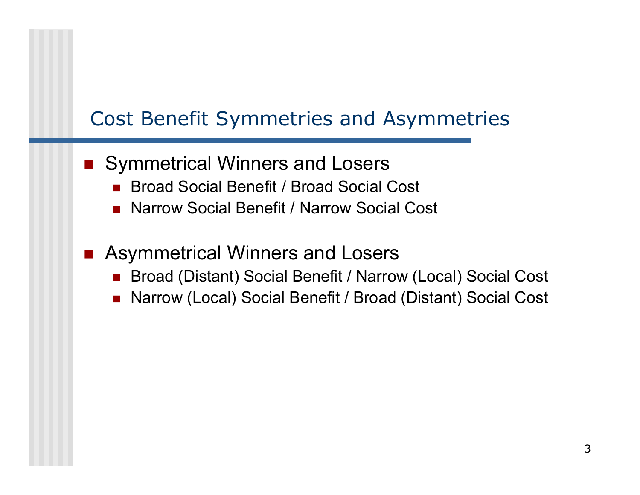# Cost Benefit Symmetries and Asymmetries

- Symmetrical Winners and Losers
	- П Broad Social Benefit / Broad Social Cost
	- П Narrow Social Benefit / Narrow Social Cost
- $\overline{\phantom{a}}$  Asymmetrical Winners and Losers
	- П Broad (Distant) Social Benefit / Narrow (Local) Social Cost
	- П Narrow (Local) Social Benefit / Broad (Distant) Social Cost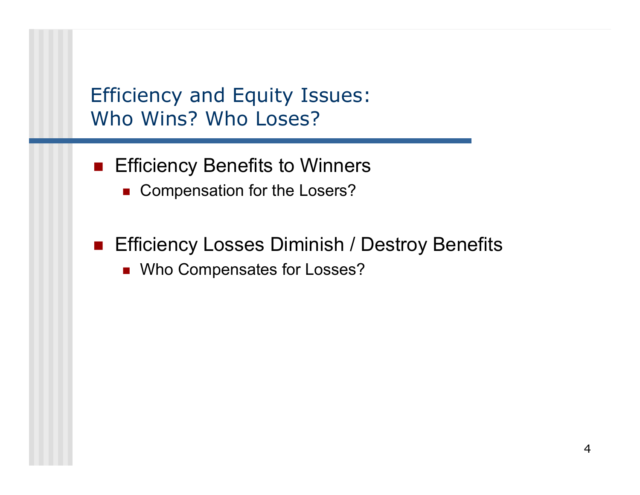Efficiency and Equity Issues: Who Wins? Who Loses?

- **Efficiency Benefits to Winners** 
	- Compensation for the Losers?
- Efficiency Losses Diminish / Destroy Benefits
	- Who Compensates for Losses?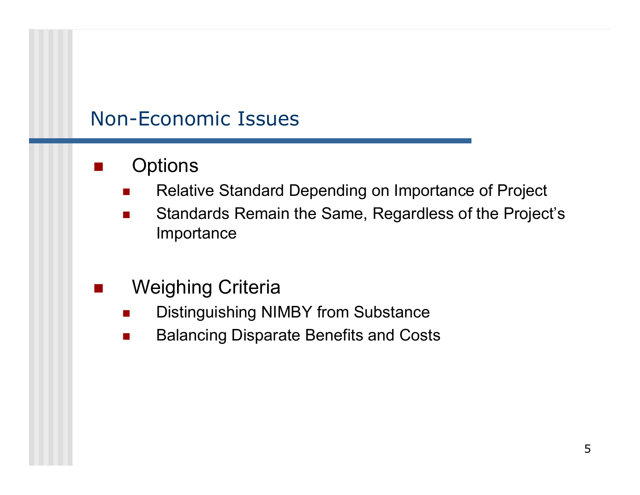### Non-Economic Issues

- $\overline{\phantom{a}}$ **Options** 
	- П Relative Standard Depending on Importance of Project
	- **The State**  Standards Remain the Same, Regardless of the Project's Importance
- Weighing Criteria
	- П ■ Distinguishing NIMBY from Substance
	- $\mathcal{L}^{\mathcal{L}}$ Balancing Disparate Benefits and Costs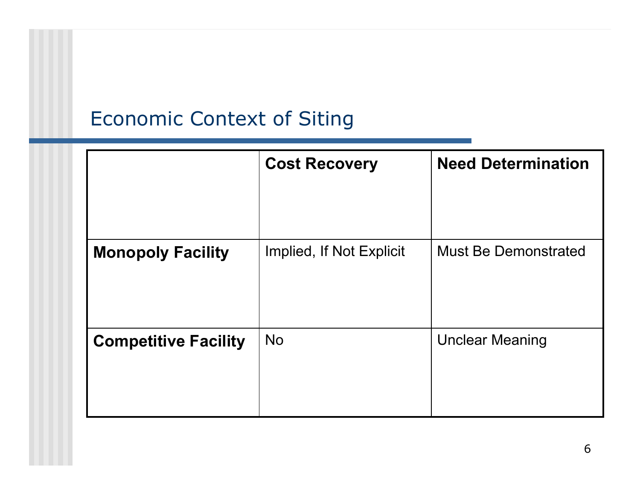# Economic Context of Siting

|                             | <b>Cost Recovery</b>     | <b>Need Determination</b>   |
|-----------------------------|--------------------------|-----------------------------|
|                             |                          |                             |
| <b>Monopoly Facility</b>    | Implied, If Not Explicit | <b>Must Be Demonstrated</b> |
| <b>Competitive Facility</b> | <b>No</b>                | <b>Unclear Meaning</b>      |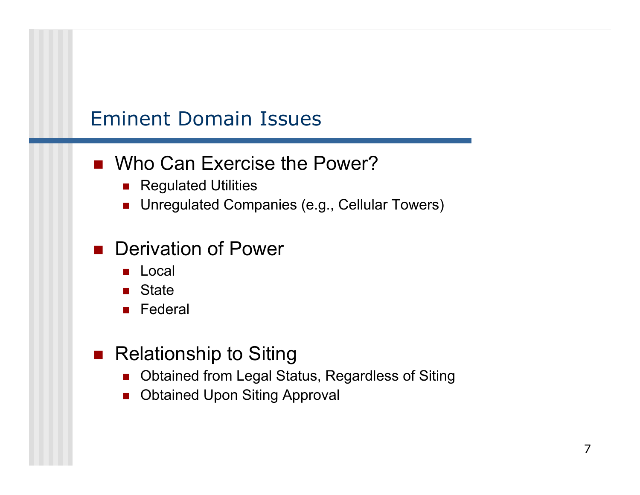### Eminent Domain Issues

#### ■ Who Can Exercise the Power?

- **Regulated Utilities**
- Unregulated Companies (e.g., Cellular Towers)

#### **Derivation of Power**

- Local
- State
- Federal

### ■ Relationship to Siting

- Obtained from Legal Status, Regardless of Siting
- Obtained Upon Siting Approval